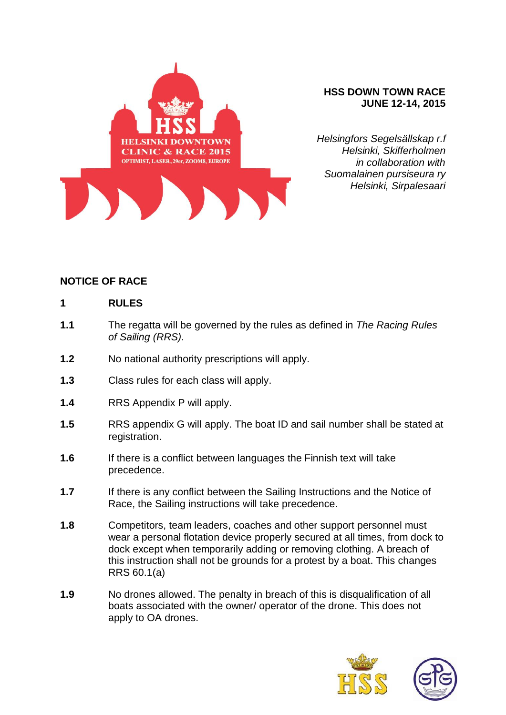

#### **HSS DOWN TOWN RACE JUNE 12-14, 2015**

*Helsingfors Segelsällskap r.f Helsinki, Skifferholmen in collaboration with Suomalainen pursiseura ry Helsinki, Sirpalesaari*

## **NOTICE OF RACE**

#### **1 RULES**

- **1.1** The regatta will be governed by the rules as defined in *The Racing Rules of Sailing (RRS)*.
- **1.2** No national authority prescriptions will apply.
- **1.3** Class rules for each class will apply.
- **1.4** RRS Appendix P will apply.
- **1.5** RRS appendix G will apply. The boat ID and sail number shall be stated at registration.
- **1.6** If there is a conflict between languages the Finnish text will take precedence.
- **1.7** If there is any conflict between the Sailing Instructions and the Notice of Race, the Sailing instructions will take precedence.
- **1.8** Competitors, team leaders, coaches and other support personnel must wear a personal flotation device properly secured at all times, from dock to dock except when temporarily adding or removing clothing. A breach of this instruction shall not be grounds for a protest by a boat. This changes RRS 60.1(a)
- **1.9** No drones allowed. The penalty in breach of this is disqualification of all boats associated with the owner/ operator of the drone. This does not apply to OA drones.



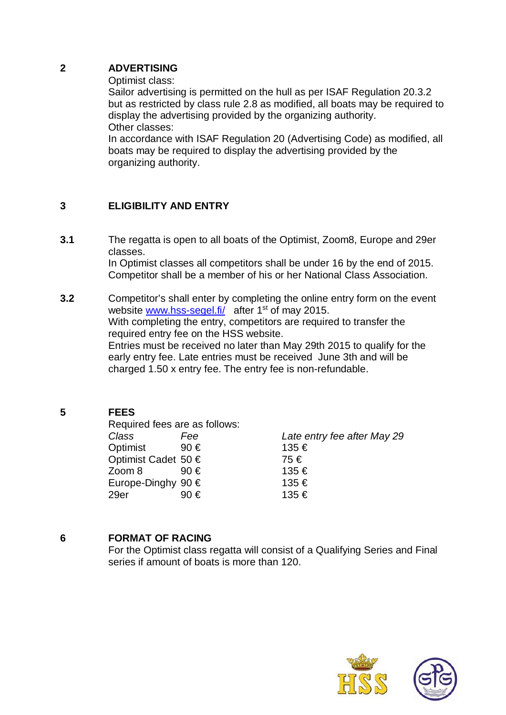#### **2 ADVERTISING**

Optimist class:

Sailor advertising is permitted on the hull as per ISAF Regulation 20.3.2 but as restricted by class rule 2.8 as modified, all boats may be required to display the advertising provided by the organizing authority. Other classes:

In accordance with ISAF Regulation 20 (Advertising Code) as modified, all boats may be required to display the advertising provided by the organizing authority.

# **3 ELIGIBILITY AND ENTRY**

- **3.1** The regatta is open to all boats of the Optimist, Zoom8, Europe and 29er classes. In Optimist classes all competitors shall be under 16 by the end of 2015. Competitor shall be a member of his or her National Class Association.
- **3.2** Competitor's shall enter by completing the online entry form on the event website www.hss-segel.fi/ after 1<sup>st</sup> of may 2015. With completing the entry, competitors are required to transfer the required entry fee on the HSS website. Entries must be received no later than May 29th 2015 to qualify for the early entry fee. Late entries must be received June 3th and will be charged 1.50 x entry fee. The entry fee is non-refundable.

# **5 FEES**

Required fees are as follows: *Class Fee Late entry fee after May 29* Optimist 90 € 135 € Optimist Cadet 50 € 75 € Zoom 8 90 € 135 € Europe-Dinghy 90  $\epsilon$  135  $\epsilon$ 29er 90 € 135 €

# **6 FORMAT OF RACING**

For the Optimist class regatta will consist of a Qualifying Series and Final series if amount of boats is more than 120.



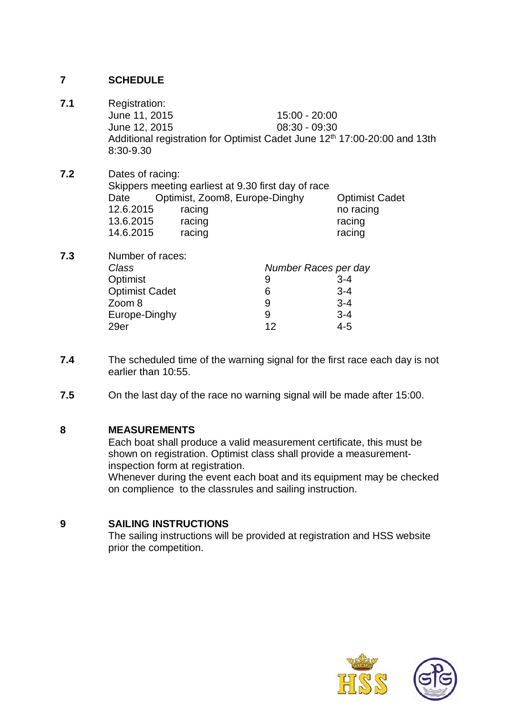# **7 SCHEDULE**

- **7.1** Registration: June 11, 2015 15:00 - 20:00 June 12, 2015 08:30 - 09:30 Additional registration for Optimist Cadet June 12<sup>th</sup> 17:00-20:00 and 13th 8:30-9.30
- **7.2** Dates of racing: Skippers meeting earliest at 9.30 first day of race Date Optimist, Zoom8, Europe-Dinghy Optimist Cadet 12.6.2015 racing no racing 13.6.2015 racing racing racing 14.6.2015 racing racing racing
- **7.3** Number of races:  *Class Number Races per day* Optimist 9 3-4 Optimist Cadet 6 3-4<br>
Zoom 8 3-4  $Z$ oom  $8$ Europe-Dinghy 9 3-4 29er 12 4-5
- **7.4** The scheduled time of the warning signal for the first race each day is not earlier than 10:55.
- **7.5** On the last day of the race no warning signal will be made after 15:00.

#### **8 MEASUREMENTS**

Each boat shall produce a valid measurement certificate, this must be shown on registration. Optimist class shall provide a measurementinspection form at registration.

Whenever during the event each boat and its equipment may be checked on complience to the classrules and sailing instruction.

# **9 SAILING INSTRUCTIONS**

 The sailing instructions will be provided at registration and HSS website prior the competition.



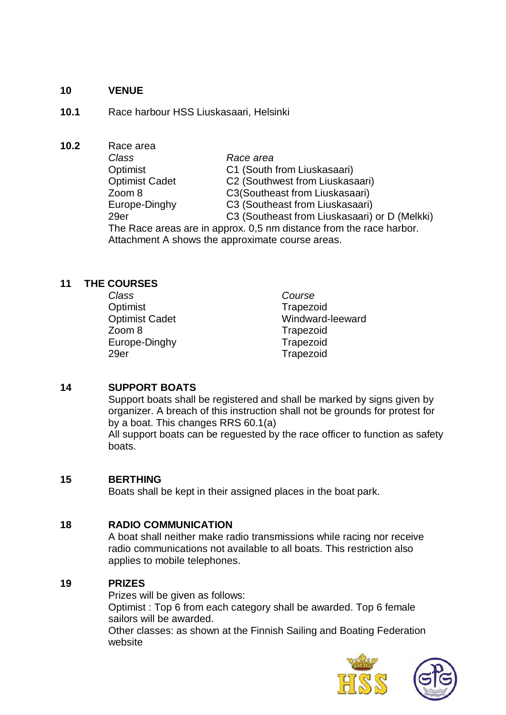#### **10 VENUE**

- **10.1** Race harbour HSS Liuskasaari, Helsinki
- **10.2** Race area *Class Race area* Optimist C1 (South from Liuskasaari) Optimist Cadet C2 (Southwest from Liuskasaari) Zoom 8 C3(Southeast from Liuskasaari) Europe-Dinghy C3 (Southeast from Liuskasaari) 29er C3 (Southeast from Liuskasaari) or D (Melkki) The Race areas are in approx. 0,5 nm distance from the race harbor. Attachment A shows the approximate course areas.

## **11 THE COURSES**

| <b>Class</b>          | Course           |
|-----------------------|------------------|
| Optimist              | Trapezoid        |
| <b>Optimist Cadet</b> | Windward-leeward |
| Zoom 8                | Trapezoid        |
| Europe-Dinghy         | Trapezoid        |
| 29er                  | Trapezoid        |

# **14 SUPPORT BOATS**

Support boats shall be registered and shall be marked by signs given by organizer. A breach of this instruction shall not be grounds for protest for by a boat. This changes RRS 60.1(a)

All support boats can be reguested by the race officer to function as safety boats.

#### **15 BERTHING**

Boats shall be kept in their assigned places in the boat park.

#### **18 RADIO COMMUNICATION**

A boat shall neither make radio transmissions while racing nor receive radio communications not available to all boats. This restriction also applies to mobile telephones.

#### **19 PRIZES**

Prizes will be given as follows: Optimist : Top 6 from each category shall be awarded. Top 6 female sailors will be awarded. Other classes: as shown at the Finnish Sailing and Boating Federation website



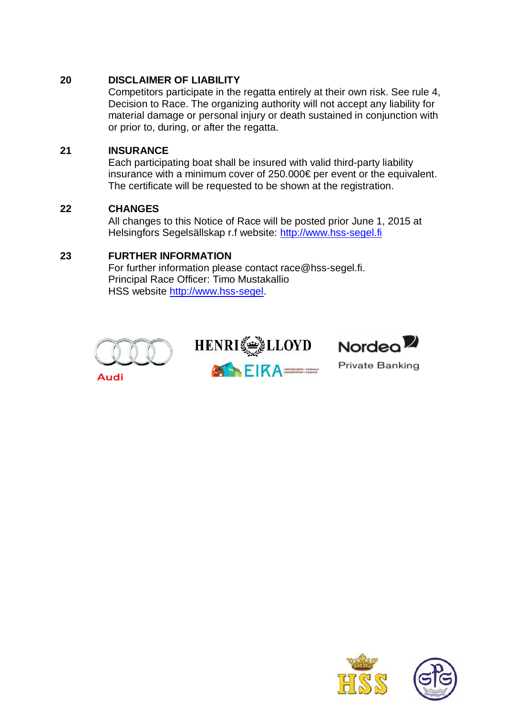# **20 DISCLAIMER OF LIABILITY**

Competitors participate in the regatta entirely at their own risk. See rule 4, Decision to Race. The organizing authority will not accept any liability for material damage or personal injury or death sustained in conjunction with or prior to, during, or after the regatta.

# **21 INSURANCE**

Each participating boat shall be insured with valid third-party liability insurance with a minimum cover of 250.000€ per event or the equivalent. The certificate will be requested to be shown at the registration.

## **22 CHANGES**

All changes to this Notice of Race will be posted prior June 1, 2015 at Helsingfors Segelsällskap r.f website: http://www.hss-segel.fi

## **23 FURTHER INFORMATION**

For further information please contact race@hss-segel.fi. Principal Race Officer: Timo Mustakallio HSS website http://www.hss-segel.





EIKA WASHING SARAHA



**Private Banking**